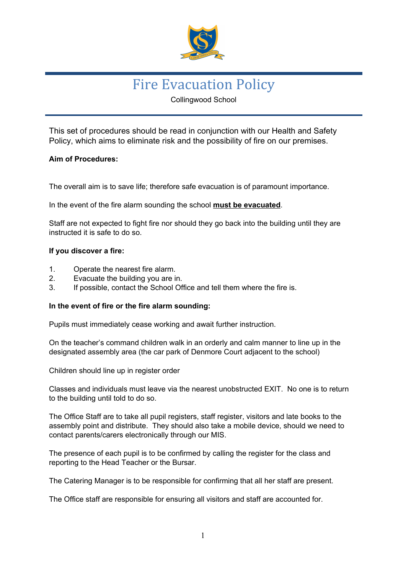

# Fire Evacuation Policy

Collingwood School

This set of procedures should be read in conjunction with our Health and Safety Policy, which aims to eliminate risk and the possibility of fire on our premises.

### **Aim of Procedures:**

The overall aim is to save life; therefore safe evacuation is of paramount importance.

In the event of the fire alarm sounding the school **must be evacuated**.

Staff are not expected to fight fire nor should they go back into the building until they are instructed it is safe to do so.

#### **If you discover a fire:**

- 1. Operate the nearest fire alarm.
- 2. Evacuate the building you are in.
- 3. If possible, contact the School Office and tell them where the fire is.

#### **In the event of fire or the fire alarm sounding:**

Pupils must immediately cease working and await further instruction.

On the teacher's command children walk in an orderly and calm manner to line up in the designated assembly area (the car park of Denmore Court adjacent to the school)

Children should line up in register order

Classes and individuals must leave via the nearest unobstructed EXIT. No one is to return to the building until told to do so.

The Office Staff are to take all pupil registers, staff register, visitors and late books to the assembly point and distribute. They should also take a mobile device, should we need to contact parents/carers electronically through our MIS.

The presence of each pupil is to be confirmed by calling the register for the class and reporting to the Head Teacher or the Bursar.

The Catering Manager is to be responsible for confirming that all her staff are present.

The Office staff are responsible for ensuring all visitors and staff are accounted for.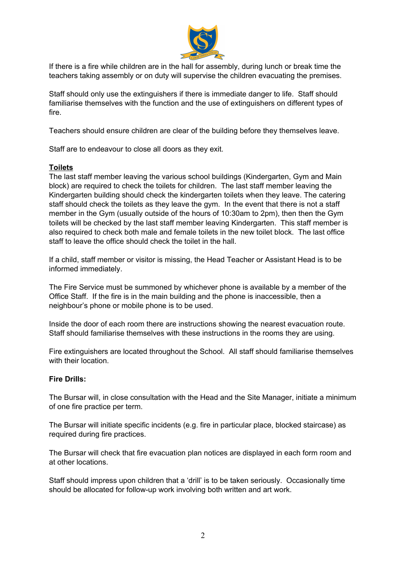

If there is a fire while children are in the hall for assembly, during lunch or break time the teachers taking assembly or on duty will supervise the children evacuating the premises.

Staff should only use the extinguishers if there is immediate danger to life. Staff should familiarise themselves with the function and the use of extinguishers on different types of fire.

Teachers should ensure children are clear of the building before they themselves leave.

Staff are to endeavour to close all doors as they exit.

#### **Toilets**

The last staff member leaving the various school buildings (Kindergarten, Gym and Main block) are required to check the toilets for children. The last staff member leaving the Kindergarten building should check the kindergarten toilets when they leave. The catering staff should check the toilets as they leave the gym. In the event that there is not a staff member in the Gym (usually outside of the hours of 10:30am to 2pm), then then the Gym toilets will be checked by the last staff member leaving Kindergarten. This staff member is also required to check both male and female toilets in the new toilet block. The last office staff to leave the office should check the toilet in the hall.

If a child, staff member or visitor is missing, the Head Teacher or Assistant Head is to be informed immediately.

The Fire Service must be summoned by whichever phone is available by a member of the Office Staff. If the fire is in the main building and the phone is inaccessible, then a neighbour's phone or mobile phone is to be used.

Inside the door of each room there are instructions showing the nearest evacuation route. Staff should familiarise themselves with these instructions in the rooms they are using.

Fire extinguishers are located throughout the School. All staff should familiarise themselves with their location.

#### **Fire Drills:**

The Bursar will, in close consultation with the Head and the Site Manager, initiate a minimum of one fire practice per term.

The Bursar will initiate specific incidents (e.g. fire in particular place, blocked staircase) as required during fire practices.

The Bursar will check that fire evacuation plan notices are displayed in each form room and at other locations.

Staff should impress upon children that a 'drill' is to be taken seriously. Occasionally time should be allocated for follow-up work involving both written and art work.